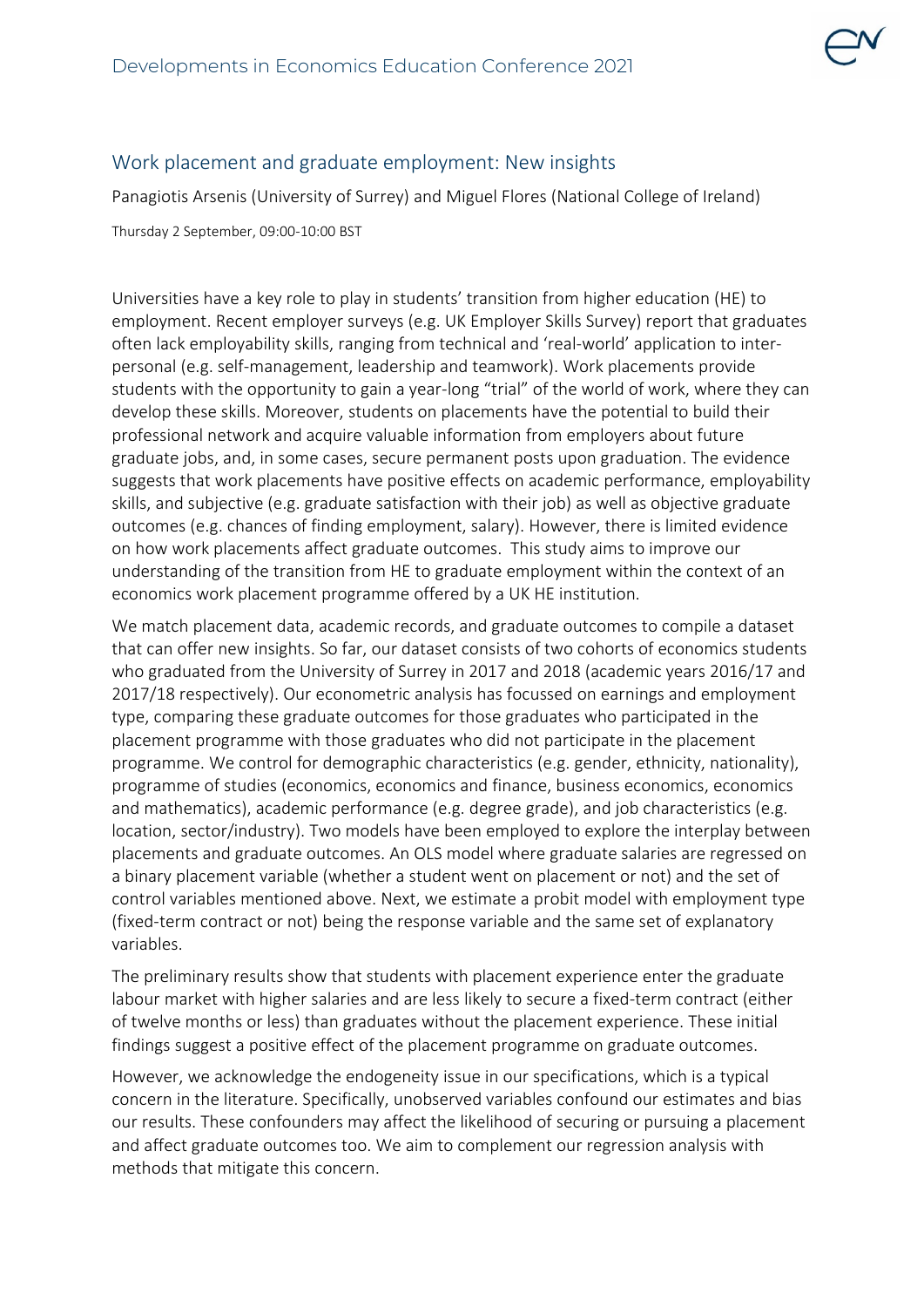

## Work placement and graduate employment: New insights

Panagiotis Arsenis (University of Surrey) and Miguel Flores (National College of Ireland)

Thursday 2 September, 09:00-10:00 BST

Universities have a key role to play in students' transition from higher education (HE) to employment. Recent employer surveys (e.g. UK Employer Skills Survey) report that graduates often lack employability skills, ranging from technical and 'real-world' application to interpersonal (e.g. self-management, leadership and teamwork). Work placements provide students with the opportunity to gain a year-long "trial" of the world of work, where they can develop these skills. Moreover, students on placements have the potential to build their professional network and acquire valuable information from employers about future graduate jobs, and, in some cases, secure permanent posts upon graduation. The evidence suggests that work placements have positive effects on academic performance, employability skills, and subjective (e.g. graduate satisfaction with their job) as well as objective graduate outcomes (e.g. chances of finding employment, salary). However, there is limited evidence on how work placements affect graduate outcomes. This study aims to improve our understanding of the transition from HE to graduate employment within the context of an economics work placement programme offered by a UK HE institution.

We match placement data, academic records, and graduate outcomes to compile a dataset that can offer new insights. So far, our dataset consists of two cohorts of economics students who graduated from the University of Surrey in 2017 and 2018 (academic years 2016/17 and 2017/18 respectively). Our econometric analysis has focussed on earnings and employment type, comparing these graduate outcomes for those graduates who participated in the placement programme with those graduates who did not participate in the placement programme. We control for demographic characteristics (e.g. gender, ethnicity, nationality), programme of studies (economics, economics and finance, business economics, economics and mathematics), academic performance (e.g. degree grade), and job characteristics (e.g. location, sector/industry). Two models have been employed to explore the interplay between placements and graduate outcomes. An OLS model where graduate salaries are regressed on a binary placement variable (whether a student went on placement or not) and the set of control variables mentioned above. Next, we estimate a probit model with employment type (fixed-term contract or not) being the response variable and the same set of explanatory variables.

The preliminary results show that students with placement experience enter the graduate labour market with higher salaries and are less likely to secure a fixed-term contract (either of twelve months or less) than graduates without the placement experience. These initial findings suggest a positive effect of the placement programme on graduate outcomes.

However, we acknowledge the endogeneity issue in our specifications, which is a typical concern in the literature. Specifically, unobserved variables confound our estimates and bias our results. These confounders may affect the likelihood of securing or pursuing a placement and affect graduate outcomes too. We aim to complement our regression analysis with methods that mitigate this concern.